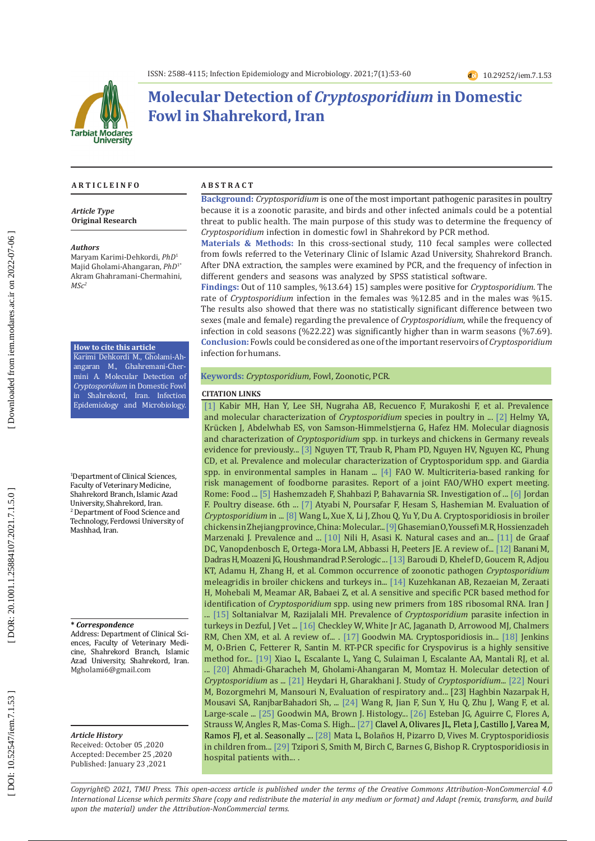

# **Molecular Detection of** *Cryptosporidium* **in Domestic Fowl in Shahrekord, Iran**

#### **A R T I C L E I N F O**

*Article Type* **Original Research**

#### *Authors*

Maryam Karimi-Dehkordi, *PhD* 1 Majid Gholami-Ahangaran, *PhD*1\* Akram Ghahramani-Chermahini,  $MSc<sup>2</sup>$ 

#### **How to cite this article**

Karimi Dehkordi M., Gholami-Ah angaran M., Ghahremani-Cher mini A. Molecular Detection of *Cryptosporidium* in Domestic Fowl in Shahrekord, Iran. Infection Epidemiology and Microbiology.

1 Department of Clinical Sciences, Faculty of Veterinary Medicine, Shahrekord Branch, Islamic Azad University, Shahrekord, Iran. 2 Department of Food Science and Technology, Ferdowsi University of Mashhad, Iran.

#### **\*** *Correspondence*

Address: Department of Clinical Sci ences, Faculty of Veterinary Medi cine, Shahrekord Branch, Islamic Azad University, Shahrekord, Iran. [Mgholami6@gmail.com](mailto:Mgholami6@gmail.com)

*Article History* Received: October 05 ,2020

Accepted: December 25 ,2020 Published: January 23 ,2021

#### **A B S T R A C T**

**Background:** *Cryptosporidium* is one of the most important pathogenic parasites in poultry because it is a zoonotic parasite, and birds and other infected animals could be a potential threat to public health. The main purpose of this study was to determine the frequency of *Cryptosporidium* infection in domestic fowl in Shahrekord by PCR method.

**Materials & Methods:** In this cross-sectional study, 110 fecal samples were collected from fowls referred to the Veterinary Clinic of Islamic Azad University, Shahrekord Branch. After DNA extraction, the samples were examined by PCR, and the frequency of infection in different genders and seasons was analyzed by SPSS statistical software.

Findings: Out of 110 samples, %13.64) 15) samples were positive for *Cryptosporidium*. The rate of *Cryptosporidium* infection in the females was %12.85 and in the males was %15. The results also showed that there was no statistically significant difference between two sexes (male and female) regarding the prevalence of *Cryptosporidium*, while the frequency of infection in cold seasons (%22.22) was significantly higher than in warm seasons (%7.69). **Conclusion:** Fowls could be considered as one of the important reservoirs of *Cryptosporidium* infection for humans.

### **Keywords:** *Cryptosporidium*, Fowl, Zoonotic, PCR.

#### **CITATION LINKS**

risk management of foodborne parasites. Report of a joint FAO/WHO expert meeting. [\[1\]](https://www.sciencedirect.com/science/article/pii/S2352771419300783) Kabir MH, Han Y, Lee SH, Nugraha AB, Recuenco F, Murakoshi F, et al. Prevalence and molecular characterization of *Cryptosporidium* species in poultry in ... [\[2\]](https://journals.plos.org/plosone/article?id=10.1371/journal.pone.0177150) Helmy YA, Krücken J, Abdelwhab ES, von Samson-Himmelstjerna G, Hafez HM. Molecular diagnosis and characterization of *Cryptosporidium* spp. in turkeys and chickens in Germany reveals evidence for previously... [\[3\]](https://www.sciencedirect.com/science/article/pii/S2405676615300305) Nguyen TT, Traub R, Pham PD, Nguyen HV, Nguyen KC, Phung CD, et al. Prevalence and molecular characterization of Cryptosporidum spp. and Giardia spp. in environmental samples in Hanam ... [\[4\]](https://www.google.com/url?sa=t&rct=j&q=&esrc=s&source=web&cd=&cad=rja&uact=8&ved=2ahUKEwi0vobs2qzvAhWQHXcKHXFtDp0QFjAAegQIAhAD&url=http%3A%2F%2Fwww.fao.org%2F3%2Fa-i3649e.pdf&usg=AOvVaw18W7dus7qHy0qgNu-qoB_l) FAO W. Multicriteria-based ranking for Rome: Food ... [\[5\]](file:///C:/Users/USER/AppData/Local/Temp/22513932907.pdf) Hashemzadeh F, Shahbazi P, Bahavarnia SR. Investigation of ... [\[6\]](https://www.google.com/url?sa=t&rct=j&q=&esrc=s&source=web&cd=&cad=rja&uact=8&ved=2ahUKEwibwJHs3KzvAhVj-ioKHZReAe4QFjAAegQIBhAD&url=https%3A%2F%2Fwww.elsevier.com%2Fbooks%2Fpoultry-diseases%2Fpattison%2F978-0-7020-2862-5&usg=AOvVaw3mdBke9kt1zDiJQJdATQrx) Jordan F. Poultry disease. 6th ... [\[7\]](https://civilica.com/doc/921779/) Atyabi N, Poursafar F, Hesam S, Hashemian M. Evaluation of *Cryptosporidium* in ... [\[8\]](https://www.ncbi.nlm.nih.gov/pmc/articles/PMC4115479/) Wang L, Xue X, Li J, Zhou Q, Yu Y, Du A. Cryptosporidiosis in broiler chickens in Zhejiang province, China: Molecular...[\[9\]](https://www.google.com/url?sa=t&rct=j&q=&esrc=s&source=web&cd=&ved=2ahUKEwjJltWf4KzvAhXCBhAIHVuTC-MQFjABegQIARAD&url=http%3A%2F%2Fnfvm.uoz.ac.ir%2F%26url%3Dhttp%3A%2F%2Fnfvm.uoz.ac.ir%2Farticle_86882.html%3Flang%3Den&usg=AOvVaw3KcOS0yDka7SL_IFw73rmn)Ghasemian O, Youssefi M.R, Hossienzadeh Marzenaki J. Prevalence and ... [\[10\]](https://www.tandfonline.com/doi/abs/10.1080/03079450220136567) Nili H, Asasi K. Natural cases and an... [\[11\]](https://www.sciencedirect.com/science/article/pii/S0020751999000764) de Graaf DC, Vanopdenbosch E, Ortega-Mora LM, Abbassi H, Peeters JE. A review of... [\[12\]](https://www.google.com/url?sa=t&rct=j&q=&esrc=s&source=web&cd=&cad=rja&uact=8&ved=2ahUKEwjDvfLt4qzvAhWnw4sKHST4DsQQFjAAegQIAhAD&url=https%3A%2F%2Fwww.sid.ir%2Fen%2FJournal%2FViewPaper.aspx%3FID%3D31116&usg=AOvVaw1jTxISXFKBBJiCzv-MBxNG) Banani M, Dadras H, Moazeni JG, Houshmandrad P. Serologic ... [\[13\]](https://www.sciencedirect.com/science/article/pii/S0304401713001349) Baroudi D, Khelef D, Goucem R, Adjou KT, Adamu H, Zhang H, et al. Common occurrence of zoonotic pathogen *Cryptosporidium* meleagridis in broiler chickens and turkeys in... [\[14\]](https://www.ncbi.nlm.nih.gov/pmc/articles/PMC3279906/) Kuzehkanan AB, Rezaeian M, Zeraati H, Mohebali M, Meamar AR, Babaei Z, et al. A sensitive and specific PCR based method for identification of *Cryptosporidium* spp. using new primers from 18S ribosomal RNA. Iran J ... [\[15\]](http://jvh.iau-shoushtar.ac.ir/article_536175_2bbbfe4be840828bf33f9c5e7b54979b.pdf) Soltanialvar M, Razijalali MH. Prevalence of *Cryptosporidium* parasite infection in turkeys in Dezful, J Vet ... [\[16\]](https://www.sciencedirect.com/science/article/pii/S1473309914707728) Checkley W, White Jr AC, Jaganath D, Arrowood MJ, Chalmers RM, Chen XM, et al. A review of... . [\[17\]](https://www.tandfonline.com/doi/abs/10.1080/03079458908418612) Goodwin MA. Cryptosporidiosis in... [\[18\]](https://www.sciencedirect.com/science/article/pii/S2405676615300238) Jenkins M, O›Brien C, Fetterer R, Santin M. RT-PCR specific for Cryspovirus is a highly sensitive method for... [\[19\]](https://www.google.com/url?sa=t&rct=j&q=&esrc=s&source=web&cd=&cad=rja&uact=8&ved=2ahUKEwif4OW26KzvAhXnsYsKHSy-DskQFjAAegQIARAD&url=http%3A%2F%2Fgoums.ac.ir%2Fjournal%2Farticle-1-3592-en.html&usg=AOvVaw1Y4A34GRcUDpqemA81C_oa) Xiao L, Escalante L, Yang C, Sulaiman I, Escalante AA, Mantali RJ, et al. ... [\[20\]](http://goums.ac.ir/journal/article-1-3592-en.html) Ahmadi-Gharacheh M, Gholami-Ahangaran M, Momtaz H. Molecular detection of *Cryptosporidium* as ... [\[21\]](http://sjh.umsha.ac.ir/browse.php?a_id=179&sid=1&slc_lang=en) Heydari H, Gharakhani J. Study of *Cryptosporidium*... [\[22\]](https://www.sid.ir/Fa/Journal/ViewPaper.aspx?ID=39039) Nouri M, Bozorgmehri M, Mansouri N, Evaluation of respiratory and... [23] Haghbin Nazarpak H, Mousavi SA, RanjbarBahadori Sh, ... [\[24\]](https://www.google.com/url?sa=t&rct=j&q=&esrc=s&source=web&cd=&cad=rja&uact=8&ved=2ahUKEwionMqw8azvAhVqiIsKHYMsDYsQFjABegQIARAD&url=https%3A%2F%2Fpubmed.ncbi.nlm.nih.gov%2F21154053%2F&usg=AOvVaw1aC6U9bOVljmgg6bvOUIEM) Wang R, Jian F, Sun Y, Hu Q, Zhu J, Wang F, et al. Large-scale ... [\[25\]](https://pubmed.ncbi.nlm.nih.gov/3401179/) Goodwin MA, Brown J. Histology... [\[26\]](https://www.google.com/url?sa=t&rct=j&q=&esrc=s&source=web&cd=&cad=rja&uact=8&ved=2ahUKEwjFv7_X76zvAhVqiIsKHYMsDYsQFjAFegQIARAD&url=https%3A%2F%2Fwww.ajtmh.org%2Fcontent%2Fjournals%2F10.4269%2Fajtmh.1998.58.50&usg=AOvVaw2SXFfdq7pf9gPAwPugcUzv) Esteban JG, Aguirre C, Flores A, Strauss W, Angles R, Mas-Coma S. High... [\[27\]](https://www.google.com/url?sa=t&rct=j&q=&esrc=s&source=web&cd=&cad=rja&uact=8&ved=2ahUKEwi_l4us8KzvAhURBhAIHc4uC2wQFjAAegQIARAD&url=https%3A%2F%2Fpubmed.ncbi.nlm.nih.gov%2F8641309%2F&usg=AOvVaw2FGY-wUC0p5HRrcVifRte9) Clavel A, Olivares JL, Fleta J, Castillo J, Varea M, Ramos FJ, et al. Seasonally ... [\[28\]](https://www.google.com/url?sa=t&rct=j&q=&esrc=s&source=web&cd=&cad=rja&uact=8&ved=2ahUKEwjMnsTp8KzvAhVACRAIHXuaAA4QFjABegQIARAD&url=https%3A%2F%2Fpubmed.ncbi.nlm.nih.gov%2F6696181%2F&usg=AOvVaw1GOSSVf3sYFdAvPaLyGyW5) Mata L, Bolaños H, Pizarro D, Vives M. Cryptosporidiosis in children from... [\[29\]](https://www.google.com/url?sa=t&rct=j&q=&esrc=s&source=web&cd=&cad=rja&uact=8&ved=2ahUKEwj7uIOR8azvAhVrwIsKHTqGBPEQFjAAegQIARAD&url=https%3A%2F%2Fpubmed.ncbi.nlm.nih.gov%2F6625074%2F&usg=AOvVaw2DBLqX4rbQCIb3rjk5X76-) Tzipori S, Smith M, Birch C, Barnes G, Bishop R. Cryptosporidiosis in hospital patients with... .

*Copyright© 2021, TMU Press. This open-access article is published under the terms of the Creative Commons Attribution-NonCommercial 4.0 International License which permits Share (copy and redistribute the material in any medium or format) and Adapt (remix, transform, and build upon the material) under the Attribution-NonCommercial terms.*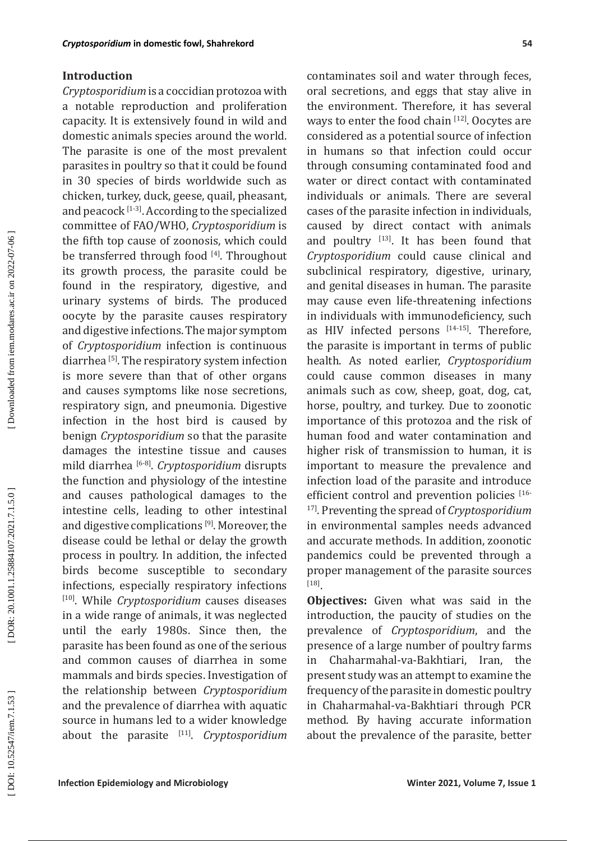### **Introduction**

*Cryptosporidium* is a coccidian protozoa with a notable reproduction and proliferation capacity. It is extensively found in wild and domestic animals species around the world. The parasite is one of the most prevalent parasites in poultry so that it could be found in 30 species of birds worldwide such as chicken, turkey, duck, geese, quail, pheasant, and peacock  $[1-3]$ . According to the specialized committee of FAO/WHO, *Cryptosporidium* is the fifth top cause of zoonosis, which could be transferred through food [4]. Throughout its growth process, the parasite could be found in the respiratory, digestive, and urinary systems of birds. The produced oocyte by the parasite causes respiratory and digestive infections. The major symptom of *Cryptosporidium* infection is continuous diarrhea [5]. The respiratory system infection is more severe than that of other organs and causes symptoms like nose secretions, respiratory sign, and pneumonia. Digestive infection in the host bird is caused by benign *Cryptosporidium* so that the parasite damages the intestine tissue and causes mild diarrhea [6-8]. *Cryptosporidium* disrupts the function and physiology of the intestine and causes pathological damages to the intestine cells, leading to other intestinal and digestive complications [9]. Moreover, the disease could be lethal or delay the growth process in poultry. In addition, the infected birds become susceptible to secondary infections, especially respiratory infections [10]. While *Cryptosporidium* causes diseases in a wide range of animals, it was neglected until the early 1980s. Since then, the parasite has been found as one of the serious and common causes of diarrhea in some mammals and birds species. Investigation of the relationship between *Cryptosporidium* and the prevalence of diarrhea with aquatic source in humans led to a wider knowledge about the parasite [11]. *Cryptosporidium*

contaminates soil and water through feces, oral secretions, and eggs that stay alive in the environment. Therefore, it has several ways to enter the food chain [12]. Oocytes are considered as a potential source of infection in humans so that infection could occur through consuming contaminated food and water or direct contact with contaminated individuals or animals. There are several cases of the parasite infection in individuals, caused by direct contact with animals and poultry  $[13]$ . It has been found that *Cryptosporidium* could cause clinical and subclinical respiratory, digestive, urinary, and genital diseases in human. The parasite may cause even life-threatening infections in individuals with immunodeficiency, such as HIV infected persons  $[14-15]$ . Therefore, the parasite is important in terms of public health. As noted earlier, *Cryptosporidium* could cause common diseases in many animals such as cow, sheep, goat, dog, cat, horse, poultry, and turkey. Due to zoonotic importance of this protozoa and the risk of human food and water contamination and higher risk of transmission to human, it is important to measure the prevalence and infection load of the parasite and introduce efficient control and prevention policies [16-17]. Preventing the spread of *Cryptosporidium* in environmental samples needs advanced and accurate methods. In addition, zoonotic pandemics could be prevented through a proper management of the parasite sources [18].

**Objectives:** Given what was said in the introduction, the paucity of studies on the prevalence of *Cryptosporidium*, and the presence of a large number of poultry farms in Chaharmahal-va-Bakhtiari, Iran, the present study was an attempt to examine the frequency of the parasite in domestic poultry in Chaharmahal-va-Bakhtiari through PCR method. By having accurate information about the prevalence of the parasite, better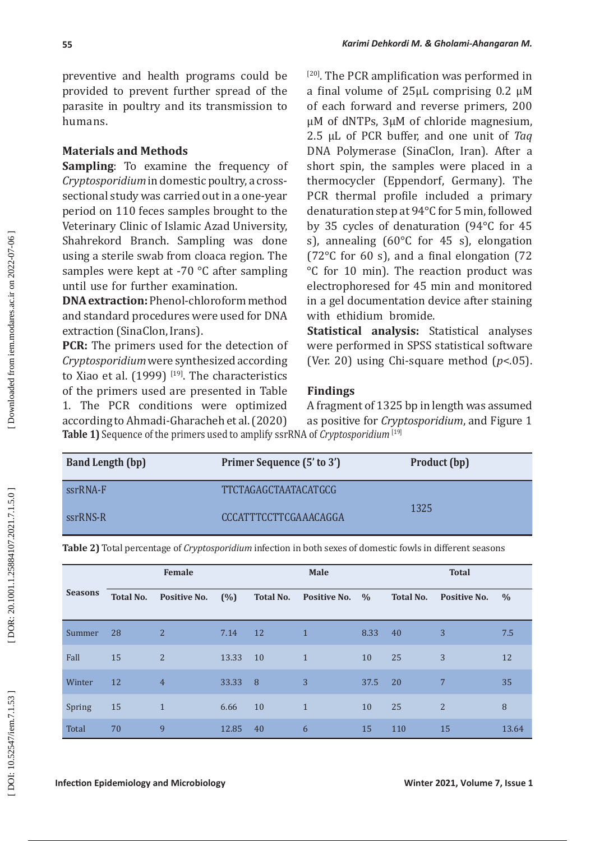preventive and health programs could be provided to prevent further spread of the parasite in poultry and its transmission to humans.

### **Materials and Methods**

**Sampling**: To examine the frequency of *Cryptosporidium* in domestic poultry, a crosssectional study was carried out in a one-year period on 110 feces samples brought to the Veterinary Clinic of Islamic Azad University, Shahrekord Branch. Sampling was done using a sterile swab from cloaca region. The samples were kept at -70 °C after sampling until use for further examination.

**DNA extraction:** Phenol-chloroform method and standard procedures were used for DNA extraction (SinaClon, Irans).

**PCR:** The primers used for the detection of *Cryptosporidium* were synthesized according to Xiao et al.  $(1999)$  [19]. The characteristics of the primers used are presented in Table 1. The PCR conditions were optimized according to Ahmadi-Gharacheh et al. (2020) **Table 1)** Sequence of the primers used to amplify ssrRNA of *Cryptosporidium* [19]

[20]. The PCR amplification was performed in a final volume of 25µL comprising 0.2 µM of each forward and reverse primers, 200 µM of dNTPs, 3µM of chloride magnesium, 2.5 µL of PCR buffer, and one unit of *Taq* DNA Polymerase (SinaClon, Iran). After a short spin, the samples were placed in a thermocycler (Eppendorf, Germany). The PCR thermal profile included a primary denaturation step at 94°C for 5 min, followed by 35 cycles of denaturation (94°C for 45 s), annealing (60°C for 45 s), elongation (72°C for 60 s), and a final elongation (72 °C for 10 min). The reaction product was electrophoresed for 45 min and monitored in a gel documentation device after staining with ethidium bromide.

**Statistical analysis:** Statistical analyses were performed in SPSS statistical software (Ver. 20) using Chi-square method ( *p*<.05).

### **Findings**

A fragment of 1325 bp in length was assumed as positive for *Cryptosporidium*, and Figure 1

| <b>Band Length (bp)</b> | Primer Sequence (5' to 3') | Product (bp) |
|-------------------------|----------------------------|--------------|
| ssrRNA-F                | TTCTAGAGCTAATACATGCG       |              |
| ssrRNS-R                | CCCATTTCCTTCGAAACAGGA      | 1325         |

**Table 2)** Total percentage of *Cryptosporidium* infection in both sexes of domestic fowls in different seasons

|                |                  | Female              |       |                  | <b>Male</b>         |               |                  | <b>Total</b>        |               |
|----------------|------------------|---------------------|-------|------------------|---------------------|---------------|------------------|---------------------|---------------|
| <b>Seasons</b> | <b>Total No.</b> | <b>Positive No.</b> | (%)   | <b>Total No.</b> | <b>Positive No.</b> | $\frac{0}{0}$ | <b>Total No.</b> | <b>Positive No.</b> | $\frac{0}{0}$ |
| Summer         | 28               | 2                   | 7.14  | 12               | $\mathbf{1}$        | 8.33          | 40               | 3                   | 7.5           |
| Fall           | 15               | 2                   | 13.33 | 10               | $\mathbf{1}$        | 10            | 25               | 3                   | 12            |
| Winter         | 12               | $\overline{4}$      | 33.33 | $\overline{8}$   | 3                   | 37.5          | <b>20</b>        | 7                   | 35            |
| Spring         | 15               | $\mathbf{1}$        | 6.66  | 10               | $\overline{1}$      | 10            | 25               | 2                   | 8             |
| Total          | 70               | 9                   | 12.85 | 40               | 6                   | 15            | 110              | 15                  | 13.64         |

DOI: 10.52547/iem.7.1.53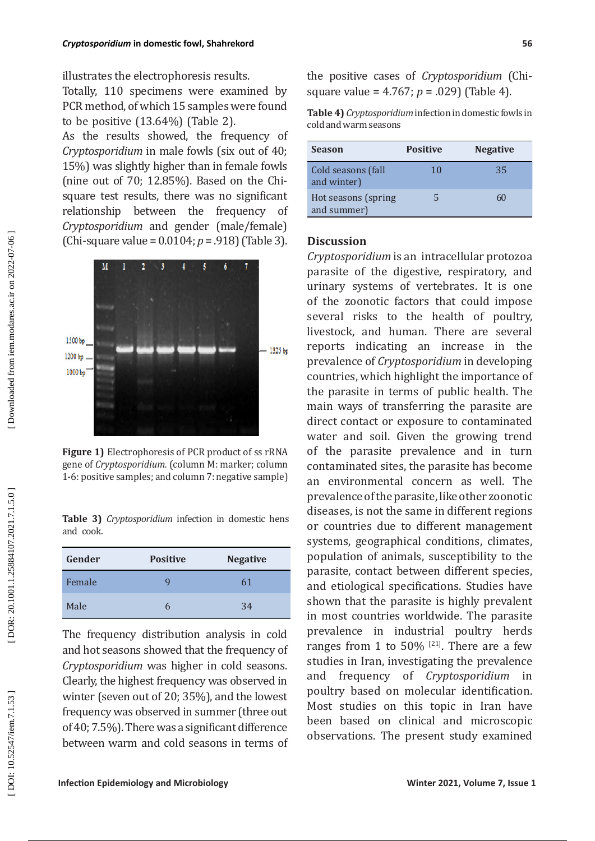illustrates the electrophoresis results.

Totally, 110 specimens were examined by PCR method, of which 15 samples were found to be positive (13.64%) (Table 2).

As the results showed, the frequency of *Cryptosporidium* in male fowls (six out of 40; 15%) was slightly higher than in female fowls (nine out of 70; 12.85%). Based on the Chisquare test results, there was no significant relationship between the frequency of *Cryptosporidium* and gender (male/female) (Chi-square value = 0.0104; *p* = .918) (Table 3).



**Figure 1)** Electrophoresis of PCR product of ss rRNA gene of *Cryptosporidium.* (column M: marker; column 1-6: positive samples; and column 7: negative sample)

**Table 3)** *Cryptosporidium* infection in domestic hens and cook.

| Gender | <b>Positive</b> | <b>Negative</b> |
|--------|-----------------|-----------------|
| Female |                 | 61              |
| Male   |                 | 34              |

The frequency distribution analysis in cold and hot seasons showed that the frequency of *Cryptosporidium* was higher in cold seasons. Clearly, the highest frequency was observed in winter (seven out of 20; 35%), and the lowest frequency was observed in summer (three out of 40; 7.5%). There was a significant difference between warm and cold seasons in terms of

the positive cases of *Cryptosporidium* (Chisquare value = 4.767; *p* = .029) (Table 4).

**Table 4)** *Cryptosporidium* infection in domestic fowls in cold and warm seasons

| <b>Season</b>                       | <b>Positive</b> | <b>Negative</b> |
|-------------------------------------|-----------------|-----------------|
| Cold seasons (fall<br>and winter)   | 10              | 35              |
| Hot seasons (spring)<br>and summer) | Ч               | 60              |

### **Discussion**

*Cryptosporidium* is an intracellular protozoa parasite of the digestive, respiratory, and urinary systems of vertebrates. It is one of the zoonotic factors that could impose several risks to the health of poultry, livestock, and human. There are several reports indicating an increase in the prevalence of *Cryptosporidium* in developing countries, which highlight the importance of the parasite in terms of public health. The main ways of transferring the parasite are direct contact or exposure to contaminated water and soil. Given the growing trend of the parasite prevalence and in turn contaminated sites, the parasite has become an environmental concern as well. The prevalence of the parasite, like other zoonotic diseases, is not the same in different regions or countries due to different management systems, geographical conditions, climates, population of animals, susceptibility to the parasite, contact between different species, and etiological specifications. Studies have shown that the parasite is highly prevalent in most countries worldwide. The parasite prevalence in industrial poultry herds ranges from 1 to 50%  $^{[21]}$ . There are a few studies in Iran, investigating the prevalence and frequency of *Cryptosporidium* in poultry based on molecular identification. Most studies on this topic in Iran have been based on clinical and microscopic observations. The present study examined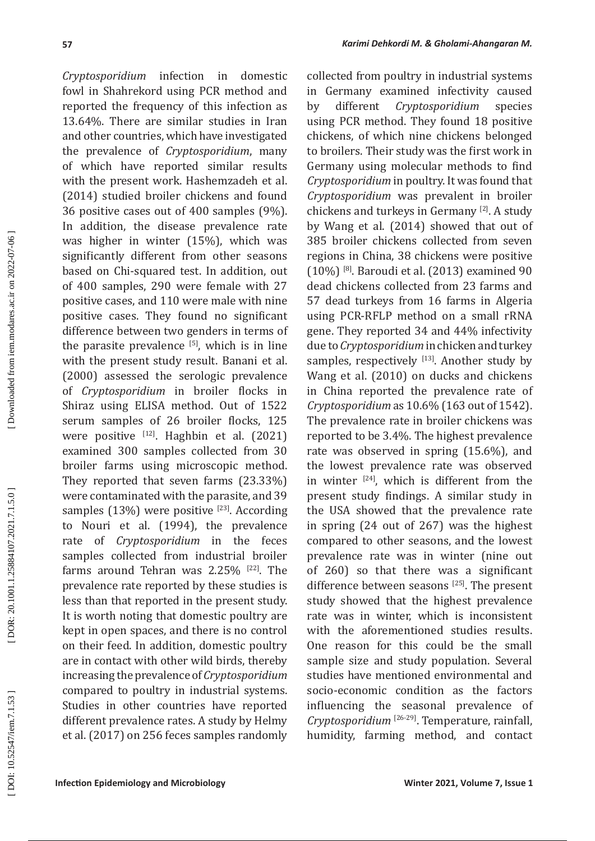*Cryptosporidium* infection in domestic fowl in Shahrekord using PCR method and reported the frequency of this infection as 13.64%. There are similar studies in Iran and other countries, which have investigated the prevalence of *Cryptosporidium*, many of which have reported similar results with the present work. Hashemzadeh et al. (2014) studied broiler chickens and found 36 positive cases out of 400 samples (9%). In addition, the disease prevalence rate was higher in winter (15%), which was significantly different from other seasons based on Chi-squared test. In addition, out of 400 samples, 290 were female with 27 positive cases, and 110 were male with nine positive cases. They found no significant difference between two genders in terms of the parasite prevalence  $[5]$ , which is in line with the present study result. Banani et al. (2000) assessed the serologic prevalence of *Cryptosporidium* in broiler flocks in Shiraz using ELISA method. Out of 1522 serum samples of 26 broiler flocks, 125 were positive [12]. Haghbin et al. (2021) examined 300 samples collected from 30 broiler farms using microscopic method. They reported that seven farms (23.33%) were contaminated with the parasite, and 39 samples  $(13%)$  were positive [23]. According to Nouri et al. (1994), the prevalence rate of *Cryptosporidium* in the feces samples collected from industrial broiler farms around Tehran was  $2.25\%$  <sup>[22]</sup>. The prevalence rate reported by these studies is less than that reported in the present study. It is worth noting that domestic poultry are kept in open spaces, and there is no control on their feed. In addition, domestic poultry are in contact with other wild birds, thereby increasing the prevalence of *Cryptosporidium* compared to poultry in industrial systems. Studies in other countries have reported different prevalence rates. A study by Helmy et al. (2017) on 256 feces samples randomly

collected from poultry in industrial systems in Germany examined infectivity caused<br>by different *Cryptosporidium* species by different *Cryptosporidium* species using PCR method. They found 18 positive chickens, of which nine chickens belonged to broilers. Their study was the first work in Germany using molecular methods to find *Cryptosporidium* in poultry. It was found that *Cryptosporidium* was prevalent in broiler chickens and turkeys in Germany [2]. A study by Wang et al. (2014) showed that out of 385 broiler chickens collected from seven regions in China, 38 chickens were positive (10%) [8]. Baroudi et al. (2013) examined 90 dead chickens collected from 23 farms and 57 dead turkeys from 16 farms in Algeria using PCR-RFLP method on a small rRNA gene. They reported 34 and 44% infectivity due to *Cryptosporidium* in chicken and turkey samples, respectively [13]. Another study by Wang et al. (2010) on ducks and chickens in China reported the prevalence rate of *Cryptosporidium* as 10.6% (163 out of 1542). The prevalence rate in broiler chickens was reported to be 3.4%. The highest prevalence rate was observed in spring (15.6%), and the lowest prevalence rate was observed in winter  $[24]$ , which is different from the present study findings. A similar study in the USA showed that the prevalence rate in spring (24 out of 267) was the highest compared to other seasons, and the lowest prevalence rate was in winter (nine out of 260) so that there was a significant difference between seasons [25]. The present study showed that the highest prevalence rate was in winter, which is inconsistent with the aforementioned studies results. One reason for this could be the small sample size and study population. Several studies have mentioned environmental and socio-economic condition as the factors influencing the seasonal prevalence of *Cryptosporidium* [26-29]. Temperature, rainfall, humidity, farming method, and contact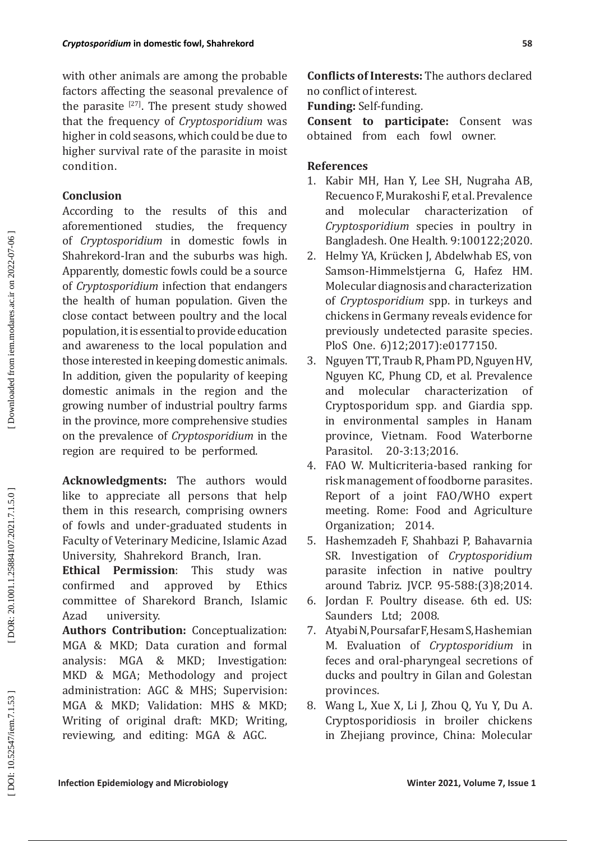with other animals are among the probable factors affecting the seasonal prevalence of the parasite  $[27]$ . The present study showed that the frequency of *Cryptosporidium* was higher in cold seasons, which could be due to higher survival rate of the parasite in moist condition.

## **Conclusion**

According to the results of this and<br>aforementioned studies, the frequency aforementioned studies, the frequency of *Cryptosporidium* in domestic fowls in Shahrekord-Iran and the suburbs was high. Apparently, domestic fowls could be a source of *Cryptosporidium* infection that endangers the health of human population. Given the close contact between poultry and the local population, it is essential to provide education and awareness to the local population and those interested in keeping domestic animals. In addition, given the popularity of keeping domestic animals in the region and the growing number of industrial poultry farms in the province, more comprehensive studies on the prevalence of *Cryptosporidium* in the region are required to be performed.

**Acknowledgments:** The authors would like to appreciate all persons that help them in this research, comprising owners of fowls and under-graduated students in Faculty of Veterinary Medicine, Islamic Azad University, Shahrekord Branch, Iran.

**Ethical Permission**: This study was confirmed and approved by Ethics committee of Sharekord Branch, Islamic Azad university.

**Authors Contribution:** Conceptualization: MGA & MKD; Data curation and formal<br>analysis: MGA & MKD; Investigation: & MKD; Investigation: MKD & MGA; Methodology and project administration: AGC & MHS; Supervision: MGA & MKD; Validation: MHS & MKD; Writing of original draft: MKD; Writing, reviewing, and editing: MGA & AGC.

**Conflicts of Interests:** The authors declared no conflict of interest.

**Funding:** Self-funding.

**Consent to participate:** Consent was obtained from each fowl owner.

- **References**<br>1. Kabir MH, Han Y, Lee SH, Nugraha AB, Recuenco F, Murakoshi F, et al. Prevalence and molecular characterization of *Cryptosporidium* species in poultry in Bangladesh. One Health. 9:100122 ;2020 .
- 2. Helmy YA, Krücken J, Abdelwhab ES, von Samson-Himmelstjerna G, Hafez HM. Molecular diagnosis and characterization of *Cryptosporidium* spp. in turkeys and chickens in Germany reveals evidence for previously undetected parasite species. PloS One. 6)12;2017):e0177150.
- 33.Nguyen TT, Traub R, Pham PD, Nguyen HV, Nguyen KC, Phung CD, et al. Prevalence and molecular characterization of Cryptosporidum spp. and Giardia spp. in environmental samples in Hanam province, Vietnam. Food Waterborne Parasitol. -3:13 ;2016 .
- 44.FAO W. Multicriteria-based ranking for risk management of foodborne parasites. Report of a joint FAO/WHO expert meeting. Rome: Food and Agriculture Organization; 2014 .
- 55.Hashemzadeh F, Shahbazi P, Bahavarnia SR. Investigation of *Cryptosporidium* parasite infection in native poultry around Tabriz. JVCP. 95 -588 : ) 3 ( 8 ;2014.
- 66.Jordan F. Poultry disease. 6th ed. US: Saunders Ltd; 2008 .
- 7. Atyabi N, Poursafar F, Hesam S, Hashemian M. Evaluation of *Cryptosporidium* in feces and oral-pharyngeal secretions of ducks and poultry in Gilan and Golestan provinces.
- 8. Wang L, Xue X, Li J, Zhou Q, Yu Y, Du A. Cryptosporidiosis in broiler chickens in Zhejiang province, China: Molecular

DOI: 10.52547/iem.7.1.53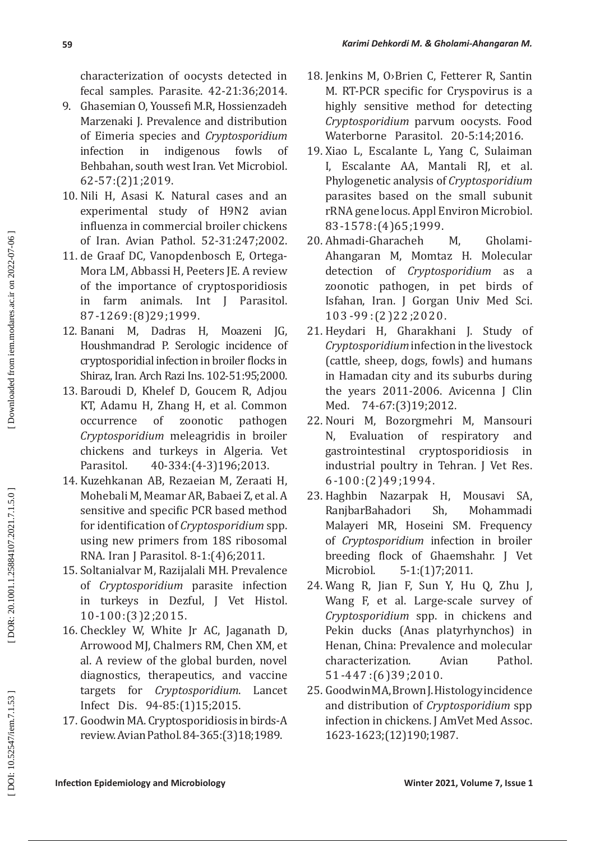characterization of oocysts detected in fecal samples. Parasite. 42 -21:36 ;2014 .

- 9. Ghasemian O, Youssefi M.R, Hossienzadeh Marzenaki J. Prevalence and distribution of Eimeria species and *Cryptosporidium* infection in indigenous fowls of Behbahan, south west Iran. Vet Microbiol. 62 -57 : ) 2 ( 1 ;2019 .
- 10. Nili H, Asasi K. Natural cases and an experimental study of H 9 N 2 avian influenza in commercial broiler chickens of Iran. Avian Pathol. 52 -31:247 ;2002 .
- 11. de Graaf DC, Vanopdenbosch E, Ortega-Mora LM, Abbassi H, Peeters JE. A review of the importance of cryptosporidiosis<br>in farm animals. Int I Parasitol. in farm animals. Int J Parasitol. 87 -1269:(8)29;1999.
- 12. Banani M, Dadras H, Moazeni JG, Houshmandrad P. Serologic incidence of cryptosporidial infection in broiler flocks in Shiraz, Iran. Arch Razi Ins. 102 -51:95 ;2000 .
- 13. Baroudi D, Khelef D, Goucem R, Adjou KT, Adamu H, Zhang H, et al. Common<br>occurrence of zoonotic pathogen occurrence *Cryptosporidium* meleagridis in broiler chickens and turkeys in Algeria. Vet Parasitol. -334: (4-3) 196; 2013.
- 14. Kuzehkanan AB, Rezaeian M, Zeraati H, Mohebali M, Meamar AR, Babaei Z, et al. A sensitive and specific PCR based method for identification of *Cryptosporidium* spp. using new primers from 18S ribosomal RNA. Iran J Parasitol. 8-1:(4)6;2011.
- 15. Soltanialvar M, Razijalali MH. Prevalence of *Cryptosporidium* parasite infection in turkeys in Dezful, J Vet Histol. 10 -100 : ) 3 ( 2 ;2015 .
- 16. Checkley W, White Jr AC, Jaganath D, Arrowood MJ, Chalmers RM, Chen XM, et al. A review of the global burden, novel diagnostics, therapeutics, and vaccine targets for *Cryptosporidium*. Lancet lnfect Dis. 94-85:(1)15;2015.
- 17. Goodwin MA. Cryptosporidiosis in birds-A review. Avian Pathol. 84-365: (3) 18; 1989.
- 18. Jenkins M, O>Brien C, Fetterer R, Santin M. RT-PCR specific for Cryspovirus is a highly sensitive method for detecting *Cryptosporidium* parvum oocysts. Food Waterborne Parasitol. 20 -5:14 ;2016 .
- 19. Xiao L, Escalante L, Yang C, Sulaiman I, Escalante AA, Mantali RJ, et al. Phylogenetic analysis of *Cryptosporidium* parasites based on the small subunit rRNA gene locus. Appl Environ Microbiol. 83-1578:(4)65;1999.
- 20. Ahmadi-Gharacheh M, Gholami-Ahangaran M, Momtaz H. Molecular detection of *Cryptosporidium* as zoonotic pathogen, in pet birds of Isfahan, Iran. J Gorgan Univ Med Sci. 103 -99 : ) 2 (22 ;2020 .
- 21. Heydari H, Gharakhani J. Study of *Cryptosporidium* infection in the livestock (cattle, sheep, dogs, fowls) and humans in Hamadan city and its suburbs during the years 2011 -2006. Avicenna J Clin Med. 74-67: (3) 19; 2012.
- 22. Nouri M, Bozorgmehri M, Mansouri N, Evaluation of respiratory and gastrointestinal cryptosporidiosis in industrial poultry in Tehran. J Vet Res.<br>6-100:(2)49;1994.
- 23. Haghbin Nazarpak H, Mousavi SA,<br>RanibarBahadori Sh. Mohammadi RanjbarBahadori Sh' Mohammadi Malayeri MR, Hoseini SM. Frequency of *Cryptosporidium* infection in broiler breeding flock of Ghaemshahr. J Vet Microbiol. 5 - 1 : ) 1 ( 7 ;2011 .
- 24. Wang R, Jian F, Sun Y, Hu Q, Zhu J, Wang F, et al. Large-scale survey of *Cryptosporidium* spp. in chickens and Pekin ducks (Anas platyrhynchos) in Henan, China: Prevalence and molecular<br>characterization. Avian Pathol. characterization. Avian 51 -447 : ) 6 (39 ;2010 .
- 25. Goodwin MA, Brown J. Histology incidence and distribution of *Cryptosporidium* spp infection in chickens. J AmVet Med Assoc. 1623 -1623 ; )12 (190 ;1987.

DOI: 10.52547/iem.7.1.53